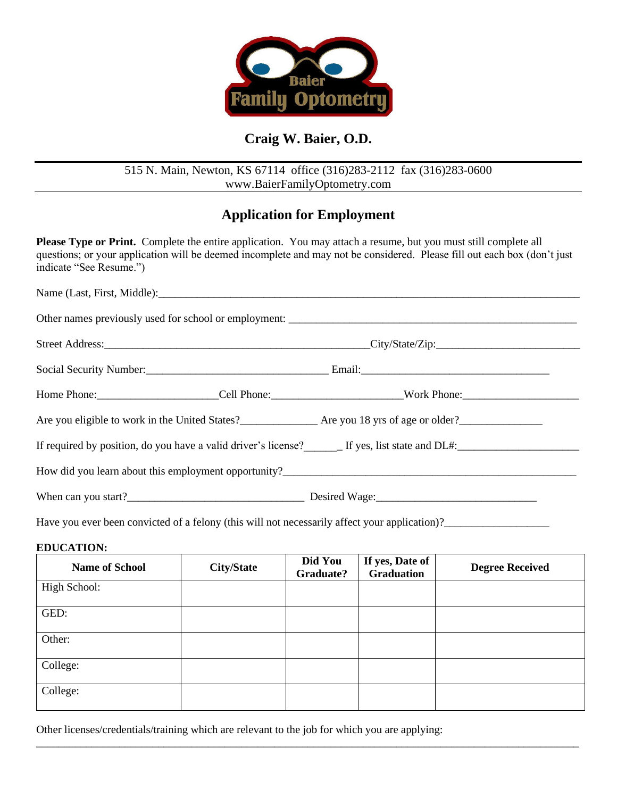

# **Craig W. Baier, O.D.**

## 515 N. Main, Newton, KS 67114 office (316)283-2112 fax (316)283-0600 www.BaierFamilyOptometry.com

# **Application for Employment**

**Please Type or Print.** Complete the entire application. You may attach a resume, but you must still complete all questions; or your application will be deemed incomplete and may not be considered. Please fill out each box (don't just indicate "See Resume.")

| Home Phone:_________________________Cell Phone:________________________________Work Phone:____________________ |  |  |  |  |
|----------------------------------------------------------------------------------------------------------------|--|--|--|--|
|                                                                                                                |  |  |  |  |
| If required by position, do you have a valid driver's license?<br>Let yes, list state and DL#:                 |  |  |  |  |
|                                                                                                                |  |  |  |  |
|                                                                                                                |  |  |  |  |

Have you ever been convicted of a felony (this will not necessarily affect your application)?\_\_\_\_\_\_\_\_\_\_\_\_\_\_\_\_\_\_\_

### **EDUCATION:**

| <b>Name of School</b> | <b>City/State</b> | Did You<br>Graduate? | If yes, Date of<br><b>Graduation</b> | <b>Degree Received</b> |
|-----------------------|-------------------|----------------------|--------------------------------------|------------------------|
| High School:          |                   |                      |                                      |                        |
| GED:                  |                   |                      |                                      |                        |
| Other:                |                   |                      |                                      |                        |
| College:              |                   |                      |                                      |                        |
| College:              |                   |                      |                                      |                        |

\_\_\_\_\_\_\_\_\_\_\_\_\_\_\_\_\_\_\_\_\_\_\_\_\_\_\_\_\_\_\_\_\_\_\_\_\_\_\_\_\_\_\_\_\_\_\_\_\_\_\_\_\_\_\_\_\_\_\_\_\_\_\_\_\_\_\_\_\_\_\_\_\_\_\_\_\_\_\_\_\_\_\_\_\_\_\_\_\_\_\_\_\_\_\_\_\_\_

Other licenses/credentials/training which are relevant to the job for which you are applying: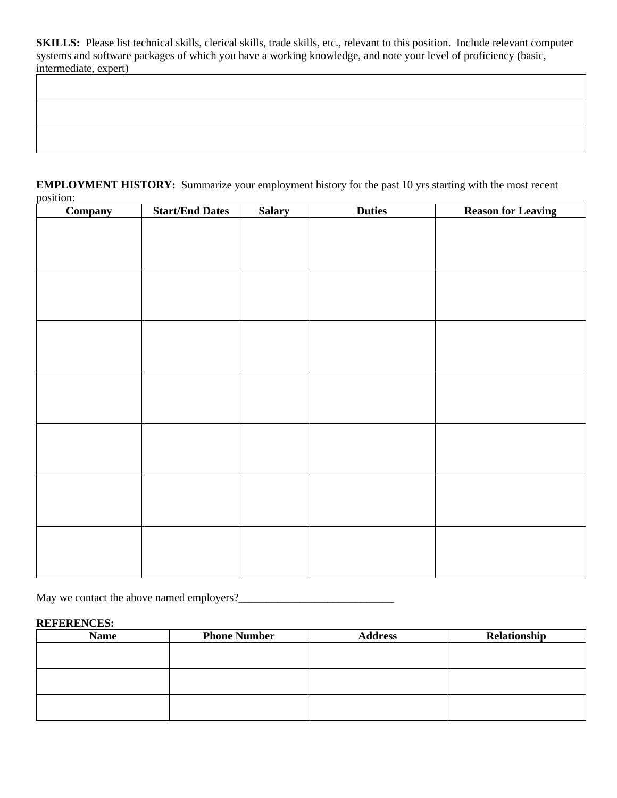**SKILLS:** Please list technical skills, clerical skills, trade skills, etc., relevant to this position. Include relevant computer systems and software packages of which you have a working knowledge, and note your level of proficiency (basic, intermediate, expert)

### **EMPLOYMENT HISTORY:** Summarize your employment history for the past 10 yrs starting with the most recent position:

| Company | <b>Start/End Dates</b> | <b>Salary</b> | <b>Duties</b> | <b>Reason for Leaving</b> |
|---------|------------------------|---------------|---------------|---------------------------|
|         |                        |               |               |                           |
|         |                        |               |               |                           |
|         |                        |               |               |                           |
|         |                        |               |               |                           |
|         |                        |               |               |                           |
|         |                        |               |               |                           |
|         |                        |               |               |                           |
|         |                        |               |               |                           |
|         |                        |               |               |                           |
|         |                        |               |               |                           |
|         |                        |               |               |                           |
|         |                        |               |               |                           |
|         |                        |               |               |                           |
|         |                        |               |               |                           |
|         |                        |               |               |                           |
|         |                        |               |               |                           |
|         |                        |               |               |                           |
|         |                        |               |               |                           |
|         |                        |               |               |                           |
|         |                        |               |               |                           |
|         |                        |               |               |                           |
|         |                        |               |               |                           |
|         |                        |               |               |                           |
|         |                        |               |               |                           |
|         |                        |               |               |                           |

May we contact the above named employers?\_\_\_\_\_\_\_\_\_\_\_\_\_\_\_\_\_\_\_\_\_\_\_\_\_\_\_\_

#### **REFERENCES:**

| <b>Name</b> | <b>Phone Number</b> | <b>Address</b> | Relationship |
|-------------|---------------------|----------------|--------------|
|             |                     |                |              |
|             |                     |                |              |
|             |                     |                |              |
|             |                     |                |              |
|             |                     |                |              |
|             |                     |                |              |